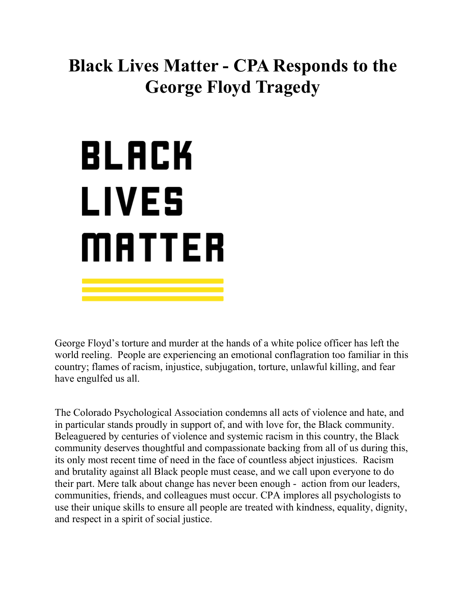## **Black Lives Matter - CPA Responds to the George Floyd Tragedy**

## BLACK LIVES MATTER

George Floyd's torture and murder at the hands of a white police officer has left the world reeling. People are experiencing an emotional conflagration too familiar in this country; flames of racism, injustice, subjugation, torture, unlawful killing, and fear have engulfed us all.

The Colorado Psychological Association condemns all acts of violence and hate, and in particular stands proudly in support of, and with love for, the Black community. Beleaguered by centuries of violence and systemic racism in this country, the Black community deserves thoughtful and compassionate backing from all of us during this, its only most recent time of need in the face of countless abject injustices. Racism and brutality against all Black people must cease, and we call upon everyone to do their part. Mere talk about change has never been enough - action from our leaders, communities, friends, and colleagues must occur. CPA implores all psychologists to use their unique skills to ensure all people are treated with kindness, equality, dignity, and respect in a spirit of social justice.